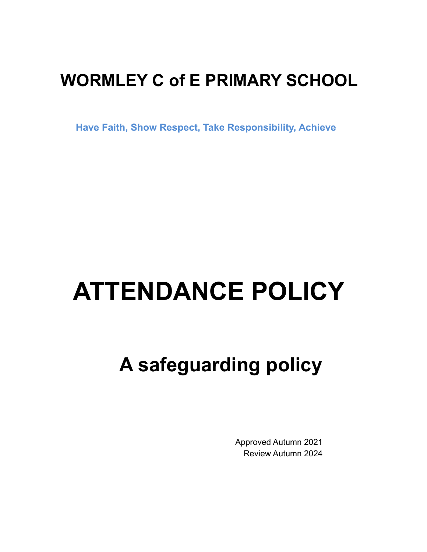# **WORMLEY C of E PRIMARY SCHOOL**

**Have Faith, Show Respect, Take Responsibility, Achieve**

# **ATTENDANCE POLICY**

# **A safeguarding policy**

Approved Autumn 2021 Review Autumn 2024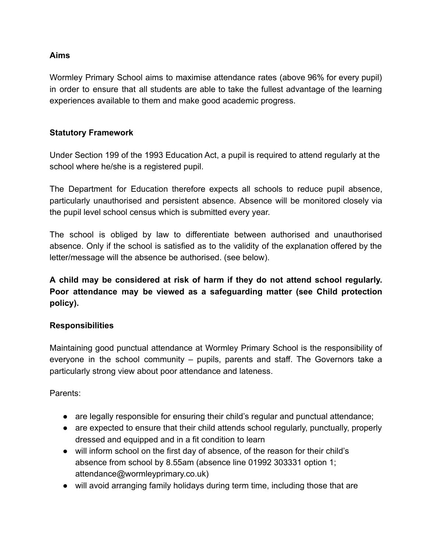#### **Aims**

Wormley Primary School aims to maximise attendance rates (above 96% for every pupil) in order to ensure that all students are able to take the fullest advantage of the learning experiences available to them and make good academic progress.

#### **Statutory Framework**

Under Section 199 of the 1993 Education Act, a pupil is required to attend regularly at the school where he/she is a registered pupil.

The Department for Education therefore expects all schools to reduce pupil absence, particularly unauthorised and persistent absence. Absence will be monitored closely via the pupil level school census which is submitted every year.

The school is obliged by law to differentiate between authorised and unauthorised absence. Only if the school is satisfied as to the validity of the explanation offered by the letter/message will the absence be authorised. (see below).

**A child may be considered at risk of harm if they do not attend school regularly. Poor attendance may be viewed as a safeguarding matter (see Child protection policy).**

#### **Responsibilities**

Maintaining good punctual attendance at Wormley Primary School is the responsibility of everyone in the school community – pupils, parents and staff. The Governors take a particularly strong view about poor attendance and lateness.

Parents:

- are legally responsible for ensuring their child's regular and punctual attendance;
- are expected to ensure that their child attends school regularly, punctually, properly dressed and equipped and in a fit condition to learn
- will inform school on the first day of absence, of the reason for their child's absence from school by 8.55am (absence line 01992 303331 option 1; attendance@wormleyprimary.co.uk)
- will avoid arranging family holidays during term time, including those that are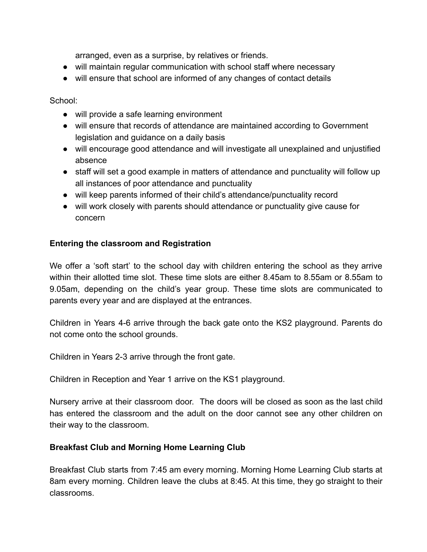arranged, even as a surprise, by relatives or friends.

- will maintain regular communication with school staff where necessary
- will ensure that school are informed of any changes of contact details

School:

- will provide a safe learning environment
- will ensure that records of attendance are maintained according to Government legislation and guidance on a daily basis
- will encourage good attendance and will investigate all unexplained and unjustified absence
- staff will set a good example in matters of attendance and punctuality will follow up all instances of poor attendance and punctuality
- will keep parents informed of their child's attendance/punctuality record
- will work closely with parents should attendance or punctuality give cause for concern

#### **Entering the classroom and Registration**

We offer a 'soft start' to the school day with children entering the school as they arrive within their allotted time slot. These time slots are either 8.45am to 8.55am or 8.55am to 9.05am, depending on the child's year group. These time slots are communicated to parents every year and are displayed at the entrances.

Children in Years 4-6 arrive through the back gate onto the KS2 playground. Parents do not come onto the school grounds.

Children in Years 2-3 arrive through the front gate.

Children in Reception and Year 1 arrive on the KS1 playground.

Nursery arrive at their classroom door. The doors will be closed as soon as the last child has entered the classroom and the adult on the door cannot see any other children on their way to the classroom.

#### **Breakfast Club and Morning Home Learning Club**

Breakfast Club starts from 7:45 am every morning. Morning Home Learning Club starts at 8am every morning. Children leave the clubs at 8:45. At this time, they go straight to their classrooms.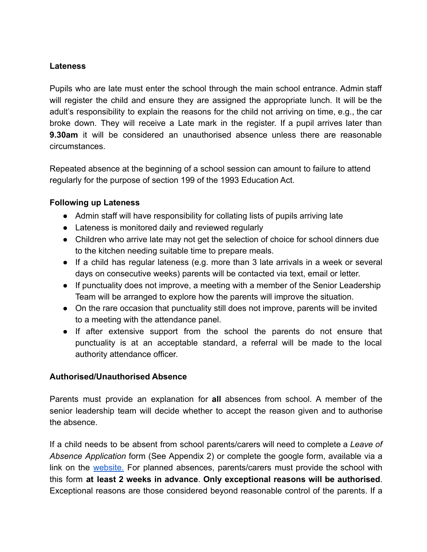#### **Lateness**

Pupils who are late must enter the school through the main school entrance. Admin staff will register the child and ensure they are assigned the appropriate lunch. It will be the adult's responsibility to explain the reasons for the child not arriving on time, e.g., the car broke down. They will receive a Late mark in the register. If a pupil arrives later than **9.30am** it will be considered an unauthorised absence unless there are reasonable circumstances.

Repeated absence at the beginning of a school session can amount to failure to attend regularly for the purpose of section 199 of the 1993 Education Act.

#### **Following up Lateness**

- Admin staff will have responsibility for collating lists of pupils arriving late
- Lateness is monitored daily and reviewed regularly
- Children who arrive late may not get the selection of choice for school dinners due to the kitchen needing suitable time to prepare meals.
- If a child has regular lateness (e.g. more than 3 late arrivals in a week or several days on consecutive weeks) parents will be contacted via text, email or letter.
- If punctuality does not improve, a meeting with a member of the Senior Leadership Team will be arranged to explore how the parents will improve the situation.
- On the rare occasion that punctuality still does not improve, parents will be invited to a meeting with the attendance panel.
- If after extensive support from the school the parents do not ensure that punctuality is at an acceptable standard, a referral will be made to the local authority attendance officer.

#### **Authorised/Unauthorised Absence**

Parents must provide an explanation for **all** absences from school. A member of the senior leadership team will decide whether to accept the reason given and to authorise the absence.

If a child needs to be absent from school parents/carers will need to complete a *Leave of Absence Application* form (See Appendix 2) or complete the google form, available via a link on the [website.](https://wormleyprimary.co.uk/attendance/) For planned absences, parents/carers must provide the school with this form **at least 2 weeks in advance**. **Only exceptional reasons will be authorised**. Exceptional reasons are those considered beyond reasonable control of the parents. If a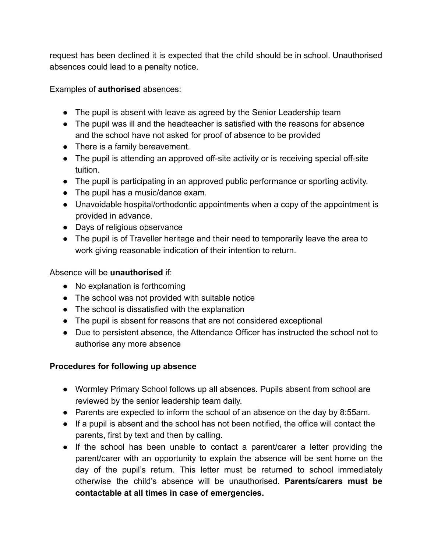request has been declined it is expected that the child should be in school. Unauthorised absences could lead to a penalty notice.

Examples of **authorised** absences:

- The pupil is absent with leave as agreed by the Senior Leadership team
- The pupil was ill and the headteacher is satisfied with the reasons for absence and the school have not asked for proof of absence to be provided
- There is a family bereavement.
- The pupil is attending an approved off-site activity or is receiving special off-site tuition.
- The pupil is participating in an approved public performance or sporting activity.
- The pupil has a music/dance exam.
- Unavoidable hospital/orthodontic appointments when a copy of the appointment is provided in advance.
- Days of religious observance
- The pupil is of Traveller heritage and their need to temporarily leave the area to work giving reasonable indication of their intention to return.

Absence will be **unauthorised** if:

- No explanation is forthcoming
- The school was not provided with suitable notice
- The school is dissatisfied with the explanation
- The pupil is absent for reasons that are not considered exceptional
- Due to persistent absence, the Attendance Officer has instructed the school not to authorise any more absence

# **Procedures for following up absence**

- Wormley Primary School follows up all absences. Pupils absent from school are reviewed by the senior leadership team daily.
- Parents are expected to inform the school of an absence on the day by 8:55am.
- If a pupil is absent and the school has not been notified, the office will contact the parents, first by text and then by calling.
- If the school has been unable to contact a parent/carer a letter providing the parent/carer with an opportunity to explain the absence will be sent home on the day of the pupil's return. This letter must be returned to school immediately otherwise the child's absence will be unauthorised. **Parents/carers must be contactable at all times in case of emergencies.**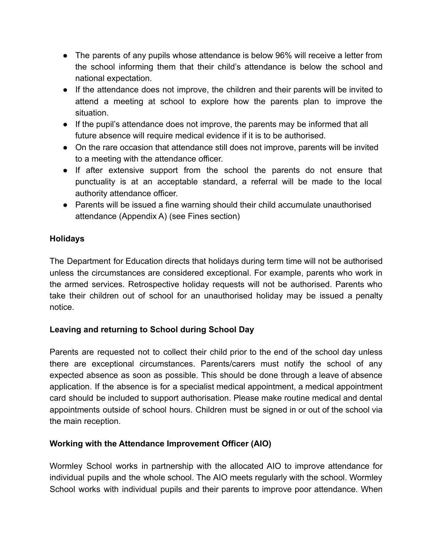- The parents of any pupils whose attendance is below 96% will receive a letter from the school informing them that their child's attendance is below the school and national expectation.
- If the attendance does not improve, the children and their parents will be invited to attend a meeting at school to explore how the parents plan to improve the situation.
- If the pupil's attendance does not improve, the parents may be informed that all future absence will require medical evidence if it is to be authorised.
- On the rare occasion that attendance still does not improve, parents will be invited to a meeting with the attendance officer.
- If after extensive support from the school the parents do not ensure that punctuality is at an acceptable standard, a referral will be made to the local authority attendance officer.
- Parents will be issued a fine warning should their child accumulate unauthorised attendance (Appendix A) (see Fines section)

### **Holidays**

The Department for Education directs that holidays during term time will not be authorised unless the circumstances are considered exceptional. For example, parents who work in the armed services. Retrospective holiday requests will not be authorised. Parents who take their children out of school for an unauthorised holiday may be issued a penalty notice.

# **Leaving and returning to School during School Day**

Parents are requested not to collect their child prior to the end of the school day unless there are exceptional circumstances. Parents/carers must notify the school of any expected absence as soon as possible. This should be done through a leave of absence application. If the absence is for a specialist medical appointment, a medical appointment card should be included to support authorisation. Please make routine medical and dental appointments outside of school hours. Children must be signed in or out of the school via the main reception.

#### **Working with the Attendance Improvement Officer (AIO)**

Wormley School works in partnership with the allocated AIO to improve attendance for individual pupils and the whole school. The AIO meets regularly with the school. Wormley School works with individual pupils and their parents to improve poor attendance. When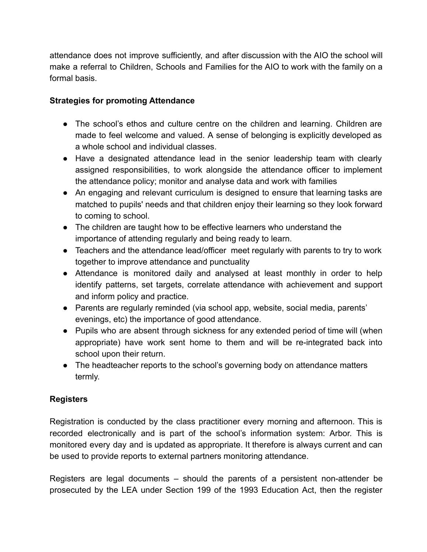attendance does not improve sufficiently, and after discussion with the AIO the school will make a referral to Children, Schools and Families for the AIO to work with the family on a formal basis.

## **Strategies for promoting Attendance**

- The school's ethos and culture centre on the children and learning. Children are made to feel welcome and valued. A sense of belonging is explicitly developed as a whole school and individual classes.
- Have a designated attendance lead in the senior leadership team with clearly assigned responsibilities, to work alongside the attendance officer to implement the attendance policy; monitor and analyse data and work with families
- An engaging and relevant curriculum is designed to ensure that learning tasks are matched to pupils' needs and that children enjoy their learning so they look forward to coming to school.
- The children are taught how to be effective learners who understand the importance of attending regularly and being ready to learn.
- Teachers and the attendance lead/officer meet regularly with parents to try to work together to improve attendance and punctuality
- Attendance is monitored daily and analysed at least monthly in order to help identify patterns, set targets, correlate attendance with achievement and support and inform policy and practice.
- Parents are regularly reminded (via school app, website, social media, parents' evenings, etc) the importance of good attendance.
- Pupils who are absent through sickness for any extended period of time will (when appropriate) have work sent home to them and will be re-integrated back into school upon their return.
- The headteacher reports to the school's governing body on attendance matters termly.

#### **Registers**

Registration is conducted by the class practitioner every morning and afternoon. This is recorded electronically and is part of the school's information system: Arbor. This is monitored every day and is updated as appropriate. It therefore is always current and can be used to provide reports to external partners monitoring attendance.

Registers are legal documents – should the parents of a persistent non-attender be prosecuted by the LEA under Section 199 of the 1993 Education Act, then the register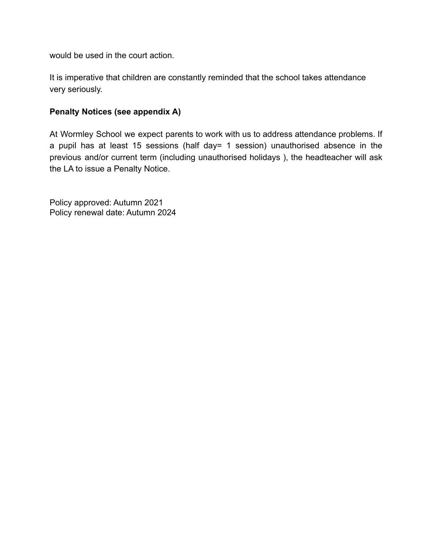would be used in the court action.

It is imperative that children are constantly reminded that the school takes attendance very seriously.

#### **Penalty Notices (see appendix A)**

At Wormley School we expect parents to work with us to address attendance problems. If a pupil has at least 15 sessions (half day= 1 session) unauthorised absence in the previous and/or current term (including unauthorised holidays ), the headteacher will ask the LA to issue a Penalty Notice.

Policy approved: Autumn 2021 Policy renewal date: Autumn 2024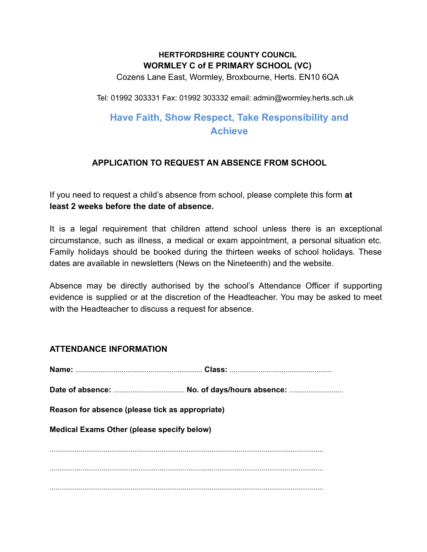## **HERTFORDSHIRE COUNTY COUNCIL WORMLEY C of E PRIMARY SCHOOL (VC)**

Cozens Lane East, Wormley, Broxbourne, Herts. EN10 6QA

Tel: 01992 303331 Fax: 01992 303332 email: admin@wormley.herts.sch.uk

# **Have Faith, Show Respect, Take Responsibility and Achieve**

# **APPLICATION TO REQUEST AN ABSENCE FROM SCHOOL**

If you need to request a child's absence from school, please complete this form **at least 2 weeks before the date of absence.**

It is a legal requirement that children attend school unless there is an exceptional circumstance, such as illness, a medical or exam appointment, a personal situation etc. Family holidays should be booked during the thirteen weeks of school holidays. These dates are available in newsletters (News on the Nineteenth) and the website.

Absence may be directly authorised by the school's Attendance Officer if supporting evidence is supplied or at the discretion of the Headteacher. You may be asked to meet with the Headteacher to discuss a request for absence.

#### **ATTENDANCE INFORMATION**

| Reason for absence (please tick as appropriate)   |  |
|---------------------------------------------------|--|
| <b>Medical Exams Other (please specify below)</b> |  |
|                                                   |  |
|                                                   |  |
|                                                   |  |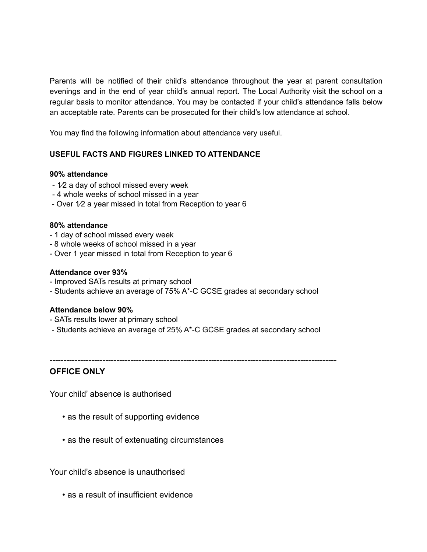Parents will be notified of their child's attendance throughout the year at parent consultation evenings and in the end of year child's annual report. The Local Authority visit the school on a regular basis to monitor attendance. You may be contacted if your child's attendance falls below an acceptable rate. Parents can be prosecuted for their child's low attendance at school.

You may find the following information about attendance very useful.

#### **USEFUL FACTS AND FIGURES LINKED TO ATTENDANCE**

#### **90% attendance**

- 1⁄2 a day of school missed every week
- 4 whole weeks of school missed in a year
- Over 1⁄2 a year missed in total from Reception to year 6

#### **80% attendance**

- 1 day of school missed every week
- 8 whole weeks of school missed in a year
- Over 1 year missed in total from Reception to year 6

#### **Attendance over 93%**

- Improved SATs results at primary school
- Students achieve an average of 75% A\*-C GCSE grades at secondary school

#### **Attendance below 90%**

- SATs results lower at primary school
- Students achieve an average of 25% A\*-C GCSE grades at secondary school

-------------------------------------------------------------------------------------------------------

#### **OFFICE ONLY**

Your child' absence is authorised

- as the result of supporting evidence
- as the result of extenuating circumstances

Your child's absence is unauthorised

• as a result of insufficient evidence